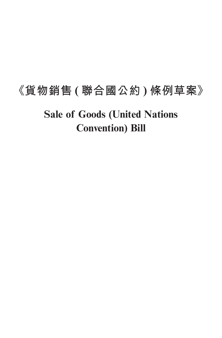# **《貨物銷售 ( 聯合國公約 ) 條例草案》**

**Sale of Goods (United Nations Convention) Bill**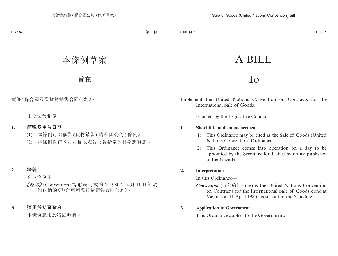# A BILL

# To

Implement the United Nations Convention on Contracts for the International Sale of Goods.

Enacted by the Legislative Council.

# **1. Short title and commencement**

- (1) This Ordinance may be cited as the Sale of Goods (United Nations Convention) Ordinance.
- (2) This Ordinance comes into operation on a day to be appointed by the Secretary for Justice by notice published in the Gazette.

# **2. Interpretation**

In this Ordinance—

*Convention* (《公約》) means the United Nations Convention on Contracts for the International Sale of Goods done at Vienna on 11 April 1980, as set out in the Schedule.

# **3. Application to Government**

This Ordinance applies to the Government.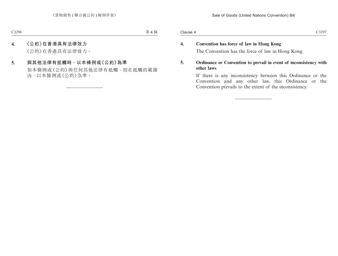# **4. Convention has force of law in Hong Kong**

The Convention has the force of law in Hong Kong.

# **5. Ordinance or Convention to prevail in event of inconsistency with other laws**

If there is any inconsistency between this Ordinance or the Convention and any other law, this Ordinance or the Convention prevails to the extent of the inconsistency.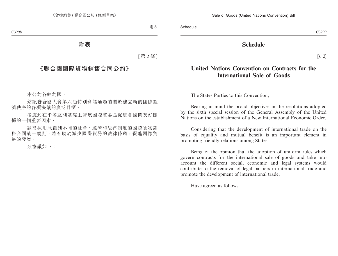[s. 2]

# **United Nations Convention on Contracts for the International Sale of Goods**

The States Parties to this Convention,

Bearing in mind the broad objectives in the resolutions adopted by the sixth special session of the General Assembly of the United Nations on the establishment of a New International Economic Order,

Considering that the development of international trade on the basis of equality and mutual benefit is an important element in promoting friendly relations among States,

Being of the opinion that the adoption of uniform rules which govern contracts for the international sale of goods and take into account the different social, economic and legal systems would contribute to the removal of legal barriers in international trade and promote the development of international trade,

Have agreed as follows: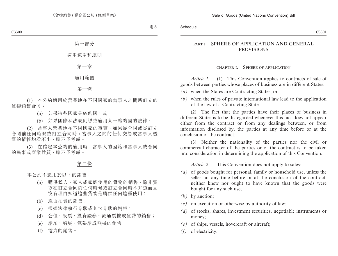# PART I. SPHERE OF APPLICATION AND GENERAL **PROVISIONS**

#### chapter i. Sphere of application

*Article 1.* (1) This Convention applies to contracts of sale of goods between parties whose places of business are in different States:

*(a)* when the States are Contracting States; or

*(b)* when the rules of private international law lead to the application of the law of a Contracting State.

(2) The fact that the parties have their places of business in different States is to be disregarded whenever this fact does not appear either from the contract or from any dealings between, or from information disclosed by, the parties at any time before or at the conclusion of the contract.

(3) Neither the nationality of the parties nor the civil or commercial character of the parties or of the contract is to be taken into consideration in determining the application of this Convention.

*Article 2.* This Convention does not apply to sales:

- *(a)* of goods bought for personal, family or household use, unless the seller, at any time before or at the conclusion of the contract, neither knew nor ought to have known that the goods were bought for any such use;
- *(b)* by auction;
- *(c)* on execution or otherwise by authority of law;
- *(d)* of stocks, shares, investment securities, negotiable instruments or money;
- *(e)* of ships, vessels, hovercraft or aircraft;
- *(f)* of electricity.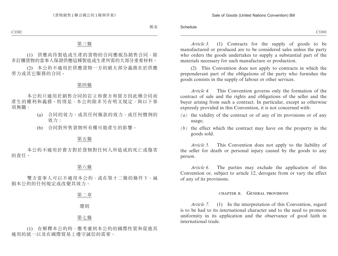*Article 3.* (1) Contracts for the supply of goods to be manufactured or produced are to be considered sales unless the party who orders the goods undertakes to supply a substantial part of the materials necessary for such manufacture or production.

(2) This Convention does not apply to contracts in which the preponderant part of the obligations of the party who furnishes the goods consists in the supply of labour or other services.

*Article 4.* This Convention governs only the formation of the contract of sale and the rights and obligations of the seller and the buyer arising from such a contract. In particular, except as otherwise expressly provided in this Convention, it is not concerned with:

- *(a)* the validity of the contract or of any of its provisions or of any usage;
- *(b)* the effect which the contract may have on the property in the goods sold.

*Article 5.* This Convention does not apply to the liability of the seller for death or personal injury caused by the goods to any person.

*Article 6.* The parties may exclude the application of this Convention or, subject to article 12, derogate from or vary the effect of any of its provisions.

### chapter ii. General provisions

*Article 7.* (1) In the interpretation of this Convention, regard is to be had to its international character and to the need to promote uniformity in its application and the observance of good faith in international trade.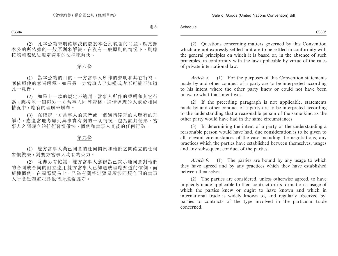C3305

(2) Questions concerning matters governed by this Convention which are not expressly settled in it are to be settled in conformity with the general principles on which it is based or, in the absence of such principles, in conformity with the law applicable by virtue of the rules of private international law.

*Article 8.* (1) For the purposes of this Convention statements made by and other conduct of a party are to be interpreted according to his intent where the other party knew or could not have been unaware what that intent was.

(2) If the preceding paragraph is not applicable, statements made by and other conduct of a party are to be interpreted according to the understanding that a reasonable person of the same kind as the other party would have had in the same circumstances.

(3) In determining the intent of a party or the understanding a reasonable person would have had, due consideration is to be given to all relevant circumstances of the case including the negotiations, any practices which the parties have established between themselves, usages and any subsequent conduct of the parties.

*Article 9.* (1) The parties are bound by any usage to which they have agreed and by any practices which they have established between themselves.

(2) The parties are considered, unless otherwise agreed, to have impliedly made applicable to their contract or its formation a usage of which the parties knew or ought to have known and which in international trade is widely known to, and regularly observed by, parties to contracts of the type involved in the particular trade concerned.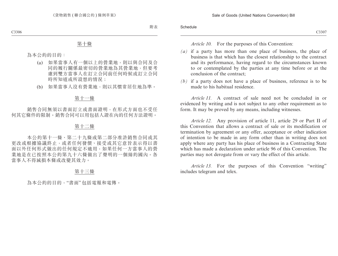*Article 10.* For the purposes of this Convention:

- *(a)* if a party has more than one place of business, the place of business is that which has the closest relationship to the contract and its performance, having regard to the circumstances known to or contemplated by the parties at any time before or at the conclusion of the contract;
- *(b)* if a party does not have a place of business, reference is to be made to his habitual residence.

*Article 11.* A contract of sale need not be concluded in or evidenced by writing and is not subject to any other requirement as to form. It may be proved by any means, including witnesses.

*Article 12.* Any provision of article 11, article 29 or Part II of this Convention that allows a contract of sale or its modification or termination by agreement or any offer, acceptance or other indication of intention to be made in any form other than in writing does not apply where any party has his place of business in a Contracting State which has made a declaration under article 96 of this Convention. The parties may not derogate from or vary the effect of this article.

*Article 13.* For the purposes of this Convention "writing" includes telegram and telex.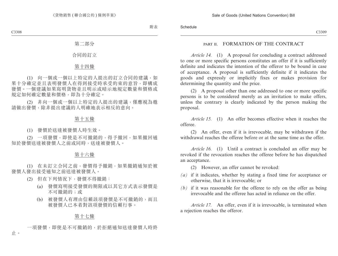### PART II. FOR MATION OF THE CONTRACT

*Article 14.* (1) A proposal for concluding a contract addressed to one or more specific persons constitutes an offer if it is sufficiently definite and indicates the intention of the offeror to be bound in case of acceptance. A proposal is sufficiently definite if it indicates the goods and expressly or implicitly fixes or makes provision for determining the quantity and the price.

(2) A proposal other than one addressed to one or more specific persons is to be considered merely as an invitation to make offers, unless the contrary is clearly indicated by the person making the proposal.

*Article 15.* (1) An offer becomes effective when it reaches the offeree.

(2) An offer, even if it is irrevocable, may be withdrawn if the withdrawal reaches the offeree before or at the same time as the offer.

*Article 16.* (1) Until a contract is concluded an offer may be revoked if the revocation reaches the offeree before he has dispatched an acceptance.

(2) However, an offer cannot be revoked:

- *(a)* if it indicates, whether by stating a fixed time for acceptance or otherwise, that it is irrevocable; or
- *(b)* if it was reasonable for the offeree to rely on the offer as being irrevocable and the offeree has acted in reliance on the offer.

*Article 17.* An offer, even if it is irrevocable, is terminated when a rejection reaches the offeror.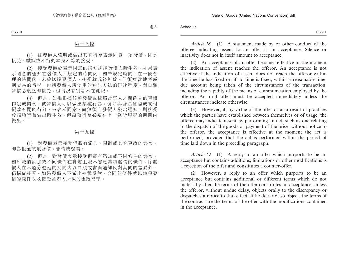*Article 18.* (1) A statement made by or other conduct of the offeree indicating assent to an offer is an acceptance. Silence or inactivity does not in itself amount to acceptance.

(2) An acceptance of an offer becomes effective at the moment the indication of assent reaches the offeror. An acceptance is not effective if the indication of assent does not reach the offeror within the time he has fixed or, if no time is fixed, within a reasonable time, due account being taken of the circumstances of the transaction, including the rapidity of the means of communication employed by the offeror. An oral offer must be accepted immediately unless the circumstances indicate otherwise.

(3) However, if, by virtue of the offer or as a result of practices which the parties have established between themselves or of usage, the offeree may indicate assent by performing an act, such as one relating to the dispatch of the goods or payment of the price, without notice to the offeror, the acceptance is effective at the moment the act is performed, provided that the act is performed within the period of time laid down in the preceding paragraph.

*Article 19.* (1) A reply to an offer which purports to be an acceptance but contains additions, limitations or other modifications is a rejection of the offer and constitutes a counter-offer.

(2) However, a reply to an offer which purports to be an acceptance but contains additional or different terms which do not materially alter the terms of the offer constitutes an acceptance, unless the offeror, without undue delay, objects orally to the discrepancy or dispatches a notice to that effect. If he does not so object, the terms of the contract are the terms of the offer with the modifications contained in the acceptance.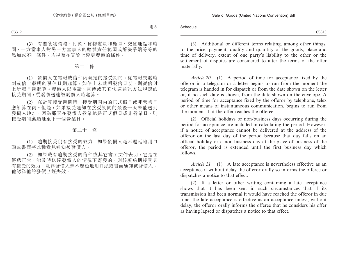(3) Additional or different terms relating, among other things, to the price, payment, quality and quantity of the goods, place and time of delivery, extent of one party's liability to the other or the settlement of disputes are considered to alter the terms of the offer materially.

*Article 20.* (1) A period of time for acceptance fixed by the offeror in a telegram or a letter begins to run from the moment the telegram is handed in for dispatch or from the date shown on the letter or, if no such date is shown, from the date shown on the envelope. A period of time for acceptance fixed by the offeror by telephone, telex or other means of instantaneous communication, begins to run from the moment that the offer reaches the offeree.

(2) Official holidays or non-business days occurring during the period for acceptance are included in calculating the period. However, if a notice of acceptance cannot be delivered at the address of the offeror on the last day of the period because that day falls on an official holiday or a non-business day at the place of business of the offeror, the period is extended until the first business day which follows.

*Article 21.* (1) A late acceptance is nevertheless effective as an acceptance if without delay the offeror orally so informs the offeree or dispatches a notice to that effect.

(2) If a letter or other writing containing a late acceptance shows that it has been sent in such circumstances that if its transmission had been normal it would have reached the offeror in due time, the late acceptance is effective as an acceptance unless, without delay, the offeror orally informs the offeree that he considers his offer as having lapsed or dispatches a notice to that effect.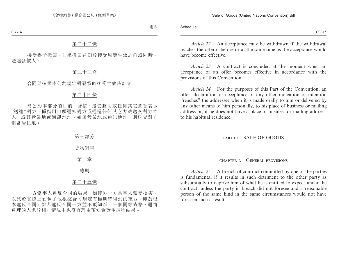*Article 22.* An acceptance may be withdrawn if the withdrawal reaches the offeror before or at the same time as the acceptance would have become effective.

*Article 23.* A contract is concluded at the moment when an acceptance of an offer becomes effective in accordance with the provisions of this Convention.

*Article 24.* For the purposes of this Part of the Convention, an offer, declaration of acceptance or any other indication of intention "reaches" the addressee when it is made orally to him or delivered by any other means to him personally, to his place of business or mailing address or, if he does not have a place of business or mailing address, to his habitual residence.

### PART III. SALE OF GOODS

### chapter i. General provisions

*Article 25.* A breach of contract committed by one of the parties is fundamental if it results in such detriment to the other party as substantially to deprive him of what he is entitled to expect under the contract, unless the party in breach did not foresee and a reasonable person of the same kind in the same circumstances would not have foreseen such a result.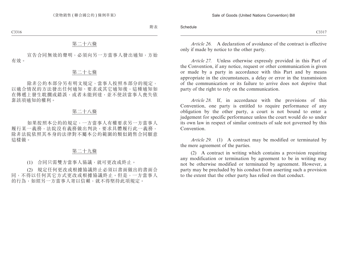$C3317$ 

*Article 26.* A declaration of avoidance of the contract is effective only if made by notice to the other party.

*Article 27.* Unless otherwise expressly provided in this Part of the Convention, if any notice, request or other communication is given or made by a party in accordance with this Part and by means appropriate in the circumstances, a delay or error in the transmission of the communication or its failure to arrive does not deprive that party of the right to rely on the communication.

*Article 28.* If, in accordance with the provisions of this Convention, one party is entitled to require performance of any obligation by the other party, a court is not bound to enter a judgement for specific performance unless the court would do so under its own law in respect of similar contracts of sale not governed by this Convention.

*Article 29.* (1) A contract may be modified or terminated by the mere agreement of the parties.

(2) A contract in writing which contains a provision requiring any modification or termination by agreement to be in writing may not be otherwise modified or terminated by agreement. However, a party may be precluded by his conduct from asserting such a provision to the extent that the other party has relied on that conduct.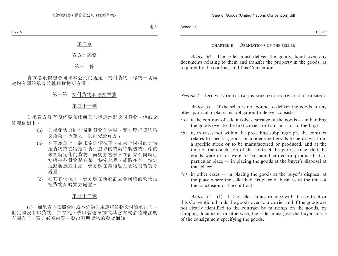chapter ii. Obligations of the seller

*Article 30.* The seller must deliver the goods, hand over any documents relating to them and transfer the property in the goods, as required by the contract and this Convention.

*Section I.* Delivery of the goods and handing over of documents

*Article 31.* If the seller is not bound to deliver the goods at any other particular place, his obligation to deliver consists:

- $(a)$  if the contract of sale involves carriage of the goods in handing the goods over to the first carrier for transmission to the buyer;
- *(b)* if, in cases not within the preceding subparagraph, the contract relates to specific goods, or unidentified goods to be drawn from a specific stock or to be manufactured or produced, and at the time of the conclusion of the contract the parties knew that the goods were at, or were to be manufactured or produced at, a particular place — in placing the goods at the buyer's disposal at that place;
- $(c)$  in other cases in placing the goods at the buyer's disposal at the place where the seller had his place of business at the time of the conclusion of the contract.

*Article 32.* (1) If the seller, in accordance with the contract or this Convention, hands the goods over to a carrier and if the goods are not clearly identified to the contract by markings on the goods, by shipping documents or otherwise, the seller must give the buyer notice of the consignment specifying the goods.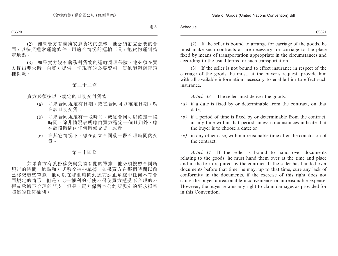(2) If the seller is bound to arrange for carriage of the goods, he must make such contracts as are necessary for carriage to the place fixed by means of transportation appropriate in the circumstances and according to the usual terms for such transportation.

(3) If the seller is not bound to effect insurance in respect of the carriage of the goods, he must, at the buyer's request, provide him with all available information necessary to enable him to effect such insurance.

*Article 33.* The seller must deliver the goods:

- *(a)* if a date is fixed by or determinable from the contract, on that date;
- *(b)* if a period of time is fixed by or determinable from the contract, at any time within that period unless circumstances indicate that the buyer is to choose a date; or
- *(c)* in any other case, within a reasonable time after the conclusion of the contract.

*Article 34.* If the seller is bound to hand over documents relating to the goods, he must hand them over at the time and place and in the form required by the contract. If the seller has handed over documents before that time, he may, up to that time, cure any lack of conformity in the documents, if the exercise of this right does not cause the buyer unreasonable inconvenience or unreasonable expense. However, the buyer retains any right to claim damages as provided for in this Convention.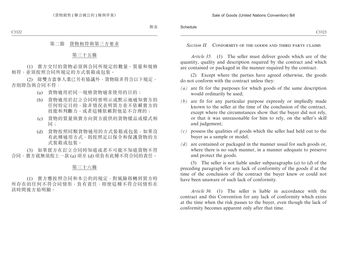Section *II.* CONFORMITY OF THE GOODS AND THIRD PARTY CLAIMS

*Article 35.* (1) The seller must deliver goods which are of the quantity, quality and description required by the contract and which are contained or packaged in the manner required by the contract.

(2) Except where the parties have agreed otherwise, the goods do not conform with the contract unless they:

- *(a)* are fit for the purposes for which goods of the same description would ordinarily be used;
- *(b)* are fit for any particular purpose expressly or impliedly made known to the seller at the time of the conclusion of the contract, except where the circumstances show that the buyer did not rely, or that it was unreasonable for him to rely, on the seller's skill and judgement;
- *(c)* possess the qualities of goods which the seller had held out to the buyer as a sample or model;
- *(d)* are contained or packaged in the manner usual for such goods or, where there is no such manner, in a manner adequate to preserve and protect the goods.

(3) The seller is not liable under subparagraphs (*a*) to (*d*) of the preceding paragraph for any lack of conformity of the goods if at the time of the conclusion of the contract the buyer knew or could not have been unaware of such lack of conformity.

*Article 36.* (1) The seller is liable in accordance with the contract and this Convention for any lack of conformity which exists at the time when the risk passes to the buyer, even though the lack of conformity becomes apparent only after that time.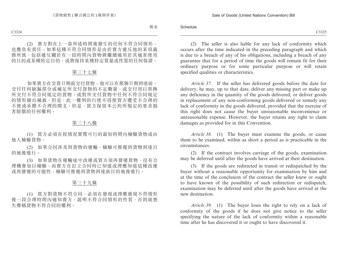(2) The seller is also liable for any lack of conformity which occurs after the time indicated in the preceding paragraph and which is due to a breach of any of his obligations, including a breach of any guarantee that for a period of time the goods will remain fit for their ordinary purpose or for some particular purpose or will retain specified qualities or characteristics.

*Article 37.* If the seller has delivered goods before the date for delivery, he may, up to that date, deliver any missing part or make up any deficiency in the quantity of the goods delivered, or deliver goods in replacement of any non-conforming goods delivered or remedy any lack of conformity in the goods delivered, provided that the exercise of this right does not cause the buyer unreasonable inconvenience or unreasonable expense. However, the buyer retains any right to claim damages as provided for in this Convention.

*Article 38.* (1) The buyer must examine the goods, or cause them to be examined, within as short a period as is practicable in the circumstances.

(2) If the contract involves carriage of the goods, examination may be deferred until after the goods have arrived at their destination.

(3) If the goods are redirected in transit or redispatched by the buyer without a reasonable opportunity for examination by him and at the time of the conclusion of the contract the seller knew or ought to have known of the possibility of such redirection or redispatch, examination may be deferred until after the goods have arrived at the new destination.

*Article 39.* (1) The buyer loses the right to rely on a lack of conformity of the goods if he does not give notice to the seller specifying the nature of the lack of conformity within a reasonable time after he has discovered it or ought to have discovered it.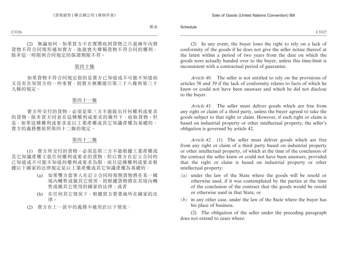C<sub>3327</sub> C<sub>3327</sub>

(2) In any event, the buyer loses the right to rely on a lack of conformity of the goods if he does not give the seller notice thereof at the latest within a period of two years from the date on which the goods were actually handed over to the buyer, unless this time-limit is inconsistent with a contractual period of guarantee.

*Article 40.* The seller is not entitled to rely on the provisions of articles 38 and 39 if the lack of conformity relates to facts of which he knew or could not have been unaware and which he did not disclose to the buyer.

*Article 41.* The seller must deliver goods which are free from any right or claim of a third party, unless the buyer agreed to take the goods subject to that right or claim. However, if such right or claim is based on industrial property or other intellectual property, the seller's obligation is governed by article 42.

*Article 42.* (1) The seller must deliver goods which are free from any right or claim of a third party based on industrial property or other intellectual property, of which at the time of the conclusion of the contract the seller knew or could not have been unaware, provided that the right or claim is based on industrial property or other intellectual property:

- *(a)* under the law of the State where the goods will be resold or otherwise used, if it was contemplated by the parties at the time of the conclusion of the contract that the goods would be resold or otherwise used in that State; or
- *(b)* in any other case, under the law of the State where the buyer has his place of business.

(2) The obligation of the seller under the preceding paragraph does not extend to cases where: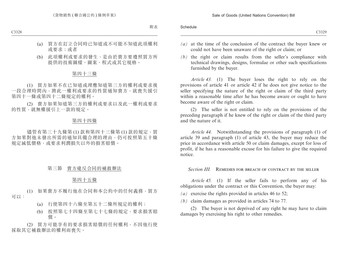- *(a)* at the time of the conclusion of the contract the buyer knew or could not have been unaware of the right or claim; or
- *(b)* the right or claim results from the seller's compliance with technical drawings, designs, formulae or other such specifications furnished by the buyer.

*Article 43.* (1) The buyer loses the right to rely on the provisions of article 41 or article 42 if he does not give notice to the seller specifying the nature of the right or claim of the third party within a reasonable time after he has become aware or ought to have become aware of the right or claim.

(2) The seller is not entitled to rely on the provisions of the preceding paragraph if he knew of the right or claim of the third party and the nature of it.

*Article 44.* Notwithstanding the provisions of paragraph (1) of article 39 and paragraph (1) of article 43, the buyer may reduce the price in accordance with article 50 or claim damages, except for loss of profit, if he has a reasonable excuse for his failure to give the required notice.

*Section III.* REMEDIES FOR BREACH OF CONTRACT BY THE SELLER

*Article 45.* (1) If the seller fails to perform any of his obligations under the contract or this Convention, the buyer may:

- *(a)* exercise the rights provided in articles 46 to 52;
- *(b)* claim damages as provided in articles 74 to 77.

(2) The buyer is not deprived of any right he may have to claim damages by exercising his right to other remedies.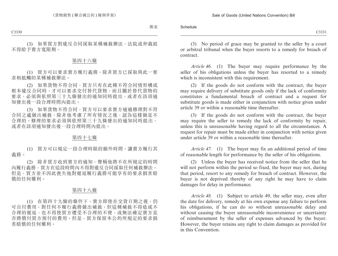C3331

(3) No period of grace may be granted to the seller by a court or arbitral tribunal when the buyer resorts to a remedy for breach of contract.

*Article 46.* (1) The buyer may require performance by the seller of his obligations unless the buyer has resorted to a remedy which is inconsistent with this requirement.

(2) If the goods do not conform with the contract, the buyer may require delivery of substitute goods only if the lack of conformity constitutes a fundamental breach of contract and a request for substitute goods is made either in conjunction with notice given under article 39 or within a reasonable time thereafter.

(3) If the goods do not conform with the contract, the buyer may require the seller to remedy the lack of conformity by repair, unless this is unreasonable having regard to all the circumstances. A request for repair must be made either in conjunction with notice given under article 39 or within a reasonable time thereafter.

*Article 47.* (1) The buyer may fix an additional period of time of reasonable length for performance by the seller of his obligations.

(2) Unless the buyer has received notice from the seller that he will not perform within the period so fixed, the buyer may not, during that period, resort to any remedy for breach of contract. However, the buyer is not deprived thereby of any right he may have to claim damages for delay in performance.

*Article 48.* (1) Subject to article 49, the seller may, even after the date for delivery, remedy at his own expense any failure to perform his obligations, if he can do so without unreasonable delay and without causing the buyer unreasonable inconvenience or uncertainty of reimbursement by the seller of expenses advanced by the buyer. However, the buyer retains any right to claim damages as provided for in this Convention.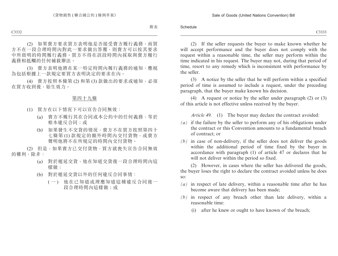C3332 C3333

(2) If the seller requests the buyer to make known whether he will accept performance and the buyer does not comply with the request within a reasonable time, the seller may perform within the time indicated in his request. The buyer may not, during that period of time, resort to any remedy which is inconsistent with performance by the seller.

(3) A notice by the seller that he will perform within a specified period of time is assumed to include a request, under the preceding paragraph, that the buyer make known his decision.

(4) A request or notice by the seller under paragraph (2) or (3) of this article is not effective unless received by the buyer.

*Article 49.* (1) The buyer may declare the contract avoided:

- *(a)* if the failure by the seller to perform any of his obligations under the contract or this Convention amounts to a fundamental breach of contract; or
- *(b)* in case of non-delivery, if the seller does not deliver the goods within the additional period of time fixed by the buyer in accordance with paragraph (1) of article 47 or declares that he will not deliver within the period so fixed.

(2) However, in cases where the seller has delivered the goods, the buyer loses the right to declare the contract avoided unless he does so:

- *(a)* in respect of late delivery, within a reasonable time after he has become aware that delivery has been made;
- *(b)* in respect of any breach other than late delivery, within a reasonable time:
	- (i) after he knew or ought to have known of the breach;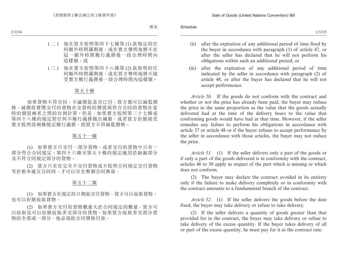- (ii) after the expiration of any additional period of time fixed by the buyer in accordance with paragraph (1) of article 47, or after the seller has declared that he will not perform his obligations within such an additional period; or
- (iii) after the expiration of any additional period of time indicated by the seller in accordance with paragraph (2) of article 48, or after the buyer has declared that he will not accept performance.

*Article 50.* If the goods do not conform with the contract and whether or not the price has already been paid, the buyer may reduce the price in the same proportion as the value that the goods actually delivered had at the time of the delivery bears to the value that conforming goods would have had at that time. However, if the seller remedies any failure to perform his obligations in accordance with article 37 or article 48 or if the buyer refuses to accept performance by the seller in accordance with those articles, the buyer may not reduce the price.

*Article 51.* (1) If the seller delivers only a part of the goods or if only a part of the goods delivered is in conformity with the contract, articles 46 to 50 apply in respect of the part which is missing or which does not conform.

(2) The buyer may declare the contract avoided in its entirety only if the failure to make delivery completely or in conformity with the contract amounts to a fundamental breach of the contract.

*Article 52.* (1) If the seller delivers the goods before the date fixed, the buyer may take delivery or refuse to take delivery.

(2) If the seller delivers a quantity of goods greater than that provided for in the contract, the buyer may take delivery or refuse to take delivery of the excess quantity. If the buyer takes delivery of all or part of the excess quantity, he must pay for it at the contract rate.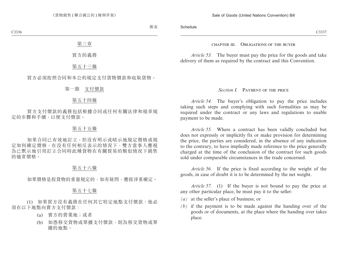#### chapter iii. Obligations of the buyer

*Article 53.* The buyer must pay the price for the goods and take delivery of them as required by the contract and this Convention.

### *Section I.* Payment of the price

*Article 54.* The buyer's obligation to pay the price includes taking such steps and complying with such formalities as may be required under the contract or any laws and regulations to enable payment to be made.

*Article 55.* Where a contract has been validly concluded but does not expressly or implicitly fix or make provision for determining the price, the parties are considered, in the absence of any indication to the contrary, to have impliedly made reference to the price generally charged at the time of the conclusion of the contract for such goods sold under comparable circumstances in the trade concerned.

*Article 56.* If the price is fixed according to the weight of the goods, in case of doubt it is to be determined by the net weight.

*Article 57.* (1) If the buyer is not bound to pay the price at any other particular place, he must pay it to the seller:

- *(a)* at the seller's place of business; or
- *(b)* if the payment is to be made against the handing over of the goods or of documents, at the place where the handing over takes place.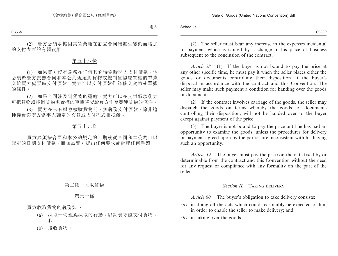C3339

(2) The seller must bear any increase in the expenses incidental to payment which is caused by a change in his place of business subsequent to the conclusion of the contract.

*Article 58.* (1) If the buyer is not bound to pay the price at any other specific time, he must pay it when the seller places either the goods or documents controlling their disposition at the buyer's disposal in accordance with the contract and this Convention. The seller may make such payment a condition for handing over the goods or documents.

(2) If the contract involves carriage of the goods, the seller may dispatch the goods on terms whereby the goods, or documents controlling their disposition, will not be handed over to the buyer except against payment of the price.

(3) The buyer is not bound to pay the price until he has had an opportunity to examine the goods, unless the procedures for delivery or payment agreed upon by the parties are inconsistent with his having such an opportunity.

*Article 59.* The buyer must pay the price on the date fixed by or determinable from the contract and this Convention without the need for any request or compliance with any formality on the part of the seller.

# Section II. TAKING DELIVERY

*Article 60.* The buyer's obligation to take delivery consists:

- *(a)* in doing all the acts which could reasonably be expected of him in order to enable the seller to make delivery; and
- *(b)* in taking over the goods.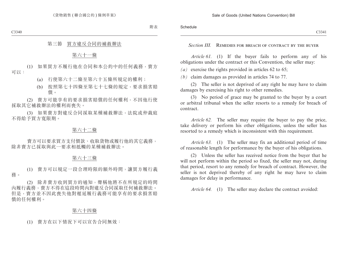*Section III.* REMEDIES FOR BREACH OF CONTRACT BY THE BUYER

*Article 61.* (1) If the buyer fails to perform any of his obligations under the contract or this Convention, the seller may:

*(a)* exercise the rights provided in articles 62 to 65;

*(b)* claim damages as provided in articles 74 to 77.

(2) The seller is not deprived of any right he may have to claim damages by exercising his right to other remedies.

(3) No period of grace may be granted to the buyer by a court or arbitral tribunal when the seller resorts to a remedy for breach of contract.

*Article 62.* The seller may require the buyer to pay the price, take delivery or perform his other obligations, unless the seller has resorted to a remedy which is inconsistent with this requirement.

*Article 63.* (1) The seller may fix an additional period of time of reasonable length for performance by the buyer of his obligations.

(2) Unless the seller has received notice from the buyer that he will not perform within the period so fixed, the seller may not, during that period, resort to any remedy for breach of contract. However, the seller is not deprived thereby of any right he may have to claim damages for delay in performance.

*Article 64.* (1) The seller may declare the contract avoided: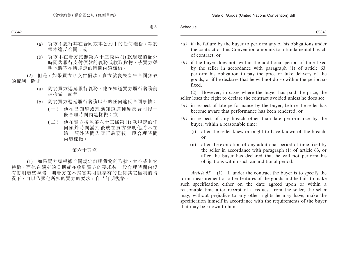- *(a)* if the failure by the buyer to perform any of his obligations under the contract or this Convention amounts to a fundamental breach of contract; or
- *(b)* if the buyer does not, within the additional period of time fixed by the seller in accordance with paragraph (1) of article 63, perform his obligation to pay the price or take delivery of the goods, or if he declares that he will not do so within the period so fixed.

(2) However, in cases where the buyer has paid the price, the seller loses the right to declare the contract avoided unless he does so:

- *(a)* in respect of late performance by the buyer, before the seller has become aware that performance has been rendered; or
- *(b)* in respect of any breach other than late performance by the buyer, within a reasonable time:
	- (i) after the seller knew or ought to have known of the breach; or
	- (ii) after the expiration of any additional period of time fixed by the seller in accordance with paragraph (1) of article 63, or after the buyer has declared that he will not perform his obligations within such an additional period.

*Article 65.* (1) If under the contract the buyer is to specify the form, measurement or other features of the goods and he fails to make such specification either on the date agreed upon or within a reasonable time after receipt of a request from the seller, the seller may, without prejudice to any other rights he may have, make the specification himself in accordance with the requirements of the buyer that may be known to him.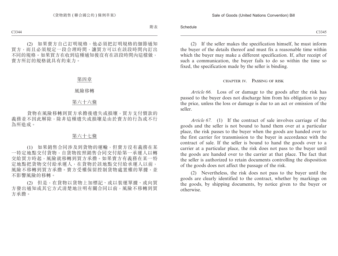C<sub>3345</sub> C<sub>3345</sub>

(2) If the seller makes the specification himself, he must inform the buyer of the details thereof and must fix a reasonable time within which the buyer may make a different specification. If, after receipt of such a communication, the buyer fails to do so within the time so fixed, the specification made by the seller is binding.

#### chapter iv. Passing of risk

*Article 66.* Loss of or damage to the goods after the risk has passed to the buyer does not discharge him from his obligation to pay the price, unless the loss or damage is due to an act or omission of the seller.

*Article 67.* (1) If the contract of sale involves carriage of the goods and the seller is not bound to hand them over at a particular place, the risk passes to the buyer when the goods are handed over to the first carrier for transmission to the buyer in accordance with the contract of sale. If the seller is bound to hand the goods over to a carrier at a particular place, the risk does not pass to the buyer until the goods are handed over to the carrier at that place. The fact that the seller is authorized to retain documents controlling the disposition of the goods does not affect the passage of the risk.

(2) Nevertheless, the risk does not pass to the buyer until the goods are clearly identified to the contract, whether by markings on the goods, by shipping documents, by notice given to the buyer or otherwise.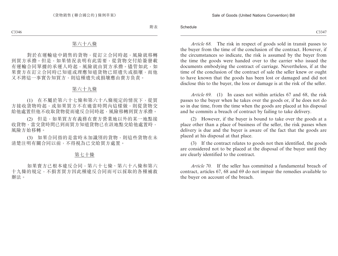C<sub>3347</sub> C<sub>3347</sub>

*Article 68.* The risk in respect of goods sold in transit passes to the buyer from the time of the conclusion of the contract. However, if the circumstances so indicate, the risk is assumed by the buyer from the time the goods were handed over to the carrier who issued the documents embodying the contract of carriage. Nevertheless, if at the time of the conclusion of the contract of sale the seller knew or ought to have known that the goods has been lost or damaged and did not disclose this to the buyer, the loss or damage is at the risk of the seller.

*Article 69.* (1) In cases not within articles 67 and 68, the risk passes to the buyer when he takes over the goods or, if he does not do so in due time, from the time when the goods are placed at his disposal and he commits a breach of contract by failing to take delivery.

(2) However, if the buyer is bound to take over the goods at a place other than a place of business of the seller, the risk passes when delivery is due and the buyer is aware of the fact that the goods are placed at his disposal at that place.

(3) If the contract relates to goods not then identified, the goods are considered not to be placed at the disposal of the buyer until they are clearly identified to the contract.

*Article 70.* If the seller has committed a fundamental breach of contract, articles 67, 68 and 69 do not impair the remedies available to the buyer on account of the breach.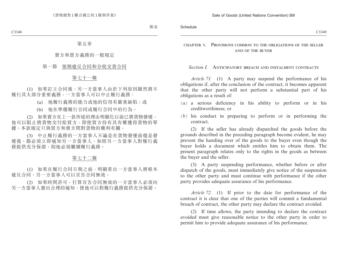### chapter v. Provisions common to the obligations of the seller and of the buyer

#### **Section I.** ANTICIPATORY BREACH AND INSTALMENT CONTRACTS

*Article 71.* (1) A party may suspend the performance of his obligations if, after the conclusion of the contract, it becomes apparent that the other party will not perform a substantial part of his obligations as a result of:

- *(a)* a serious deficiency in his ability to perform or in his creditworthiness; or
- *(b)* his conduct in preparing to perform or in performing the contract.

(2) If the seller has already dispatched the goods before the grounds described in the preceding paragraph become evident, he may prevent the handing over of the goods to the buyer even though the buyer holds a document which entitles him to obtain them. The present paragraph relates only to the rights in the goods as between the buyer and the seller.

(3) A party suspending performance, whether before or after dispatch of the goods, must immediately give notice of the suspension to the other party and must continue with performance if the other party provides adequate assurance of his performance.

*Article 72.* (1) If prior to the date for performance of the contract it is clear that one of the parties will commit a fundamental breach of contract, the other party may declare the contract avoided.

(2) If time allows, the party intending to declare the contract avoided must give reasonable notice to the other party in order to permit him to provide adequate assurance of his performance.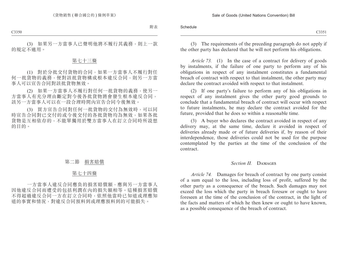C<sub>3351</sub> C<sub>3351</sub>

(3) The requirements of the preceding paragraph do not apply if the other party has declared that he will not perform his obligations.

*Article 73.* (1) In the case of a contract for delivery of goods by instalments, if the failure of one party to perform any of his obligations in respect of any instalment constitutes a fundamental breach of contract with respect to that instalment, the other party may declare the contract avoided with respect to that instalment.

(2) If one party's failure to perform any of his obligations in respect of any instalment gives the other party good grounds to conclude that a fundamental breach of contract will occur with respect to future instalments, he may declare the contract avoided for the future, provided that he does so within a reasonable time.

(3) A buyer who declares the contract avoided in respect of any delivery may, at the same time, declare it avoided in respect of deliveries already made or of future deliveries if, by reason of their interdependence, those deliveries could not be used for the purpose contemplated by the parties at the time of the conclusion of the contract.

# *Section II.* Damages

*Article 74.* Damages for breach of contract by one party consist of a sum equal to the loss, including loss of profit, suffered by the other party as a consequence of the breach. Such damages may not exceed the loss which the party in breach foresaw or ought to have foreseen at the time of the conclusion of the contract, in the light of the facts and matters of which he then knew or ought to have known, as a possible consequence of the breach of contract.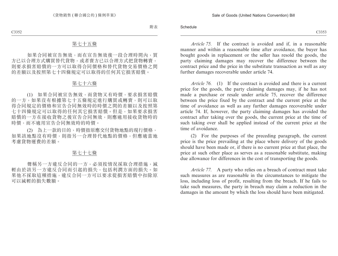C<sub>3353</sub> C<sub>3353</sub>

*Article 75.* If the contract is avoided and if, in a reasonable manner and within a reasonable time after avoidance, the buyer has bought goods in replacement or the seller has resold the goods, the party claiming damages may recover the difference between the contract price and the price in the substitute transaction as well as any further damages recoverable under article 74.

*Article 76.* (1) If the contract is avoided and there is a current price for the goods, the party claiming damages may, if he has not made a purchase or resale under article 75, recover the difference between the price fixed by the contract and the current price at the time of avoidance as well as any further damages recoverable under article 74. If, however, the party claiming damages has avoided the contract after taking over the goods, the current price at the time of such taking over shall be applied instead of the current price at the time of avoidance.

(2) For the purposes of the preceding paragraph, the current price is the price prevailing at the place where delivery of the goods should have been made or, if there is no current price at that place, the price at such other place as serves as a reasonable substitute, making due allowance for differences in the cost of transporting the goods.

*Article 77.* A party who relies on a breach of contract must take such measures as are reasonable in the circumstances to mitigate the loss, including loss of profit, resulting from the breach. If he fails to take such measures, the party in breach may claim a reduction in the damages in the amount by which the loss should have been mitigated.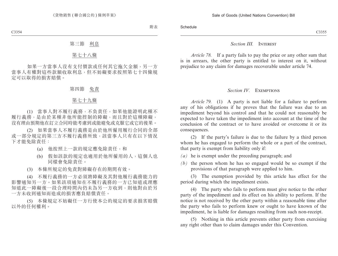$\sim$  C3355

#### *Section III.* Interest

*Article 78.* If a party fails to pay the price or any other sum that is in arrears, the other party is entitled to interest on it, without prejudice to any claim for damages recoverable under article 74.

#### *Section IV.* Exemptions

*Article 79.* (1) A party is not liable for a failure to perform any of his obligations if he proves that the failure was due to an impediment beyond his control and that he could not reasonably be expected to have taken the impediment into account at the time of the conclusion of the contract or to have avoided or overcome it or its consequences.

(2) If the party's failure is due to the failure by a third person whom he has engaged to perform the whole or a part of the contract, that party is exempt from liability only if:

*(a)* he is exempt under the preceding paragraph; and

*(b)* the person whom he has so engaged would be so exempt if the provisions of that paragraph were applied to him.

(3) The exemption provided by this article has effect for the period during which the impediment exists.

(4) The party who fails to perform must give notice to the other party of the impediment and its effect on his ability to perform. If the notice is not received by the other party within a reasonable time after the party who fails to perform knew or ought to have known of the impediment, he is liable for damages resulting from such non-receipt.

(5) Nothing in this article prevents either party from exercising any right other than to claim damages under this Convention.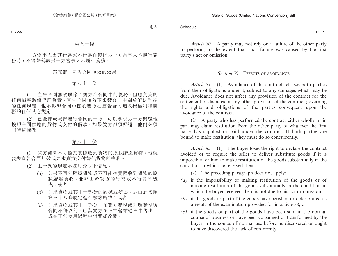*Article 80.* A party may not rely on a failure of the other party to perform, to the extent that such failure was caused by the first party's act or omission.

#### *Section V.* EFFECTS OF AVOIDANCE

*Article 81.* (1) Avoidance of the contract releases both parties from their obligations under it, subject to any damages which may be due. Avoidance does not affect any provision of the contract for the settlement of disputes or any other provision of the contract governing the rights and obligations of the parties consequent upon the avoidance of the contract.

(2) A party who has performed the contract either wholly or in part may claim restitution from the other party of whatever the first party has supplied or paid under the contract. If both parties are bound to make restitution, they must do so concurrently.

*Article 82.* (1) The buyer loses the right to declare the contract avoided or to require the seller to deliver substitute goods if it is impossible for him to make restitution of the goods substantially in the condition in which he received them.

(2) The preceding paragraph does not apply:

- *(a)* if the impossibility of making restitution of the goods or of making restitution of the goods substantially in the condition in which the buyer received them is not due to his act or omission;
- *(b)* if the goods or part of the goods have perished or deteriorated as a result of the examination provided for in article 38; or
- *(c)* if the goods or part of the goods have been sold in the normal course of business or have been consumed or transformed by the buyer in the course of normal use before he discovered or ought to have discovered the lack of conformity.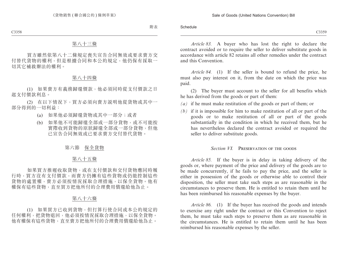C3358 C3359

*Article 83.* A buyer who has lost the right to declare the contract avoided or to require the seller to deliver substitute goods in accordance with article 82 retains all other remedies under the contract and this Convention.

*Article 84.* (1) If the seller is bound to refund the price, he must also pay interest on it, from the date on which the price was paid.

(2) The buyer must account to the seller for all benefits which he has derived from the goods or part of them:

- *(a)* if he must make restitution of the goods or part of them; or
- *(b)* if it is impossible for him to make restitution of all or part of the goods or to make restitution of all or part of the goods substantially in the condition in which he received them, but he has nevertheless declared the contract avoided or required the seller to deliver substitute goods.

#### *Section VI.* PRESERVATION OF THE GOODS

*Article 85.* If the buyer is in delay in taking delivery of the goods or, where payment of the price and delivery of the goods are to be made concurrently, if he fails to pay the price, and the seller is either in possession of the goods or otherwise able to control their disposition, the seller must take such steps as are reasonable in the circumstances to preserve them. He is entitled to retain them until he has been reimbursed his reasonable expenses by the buyer.

*Article 86.* (1) If the buyer has received the goods and intends to exercise any right under the contract or this Convention to reject them, he must take such steps to preserve them as are reasonable in the circumstances. He is entitled to retain them until he has been reimbursed his reasonable expenses by the seller.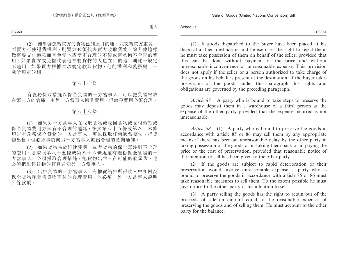(2) If goods dispatched to the buyer have been placed at his disposal at their destination and he exercises the right to reject them, he must take possession of them on behalf of the seller, provided that this can be done without payment of the price and without unreasonable inconvenience or unreasonable expense. This provision does not apply if the seller or a person authorized to take charge of the goods on his behalf is present at the destination. If the buyer takes possession of the goods under this paragraph, his rights and obligations are governed by the preceding paragraph.

*Article 87.* A party who is bound to take steps to preserve the goods may deposit them in a warehouse of a third person at the expense of the other party provided that the expense incurred is not unreasonable.

*Article 88.* (1) A party who is bound to preserve the goods in accordance with article 85 or 86 may sell them by any appropriate means if there has been an unreasonable delay by the other party in taking possession of the goods or in taking them back or in paying the price or the cost of preservation, provided that reasonable notice of the intention to sell has been given to the other party.

(2) If the goods are subject to rapid deterioration or their preservation would involve unreasonable expense, a party who is bound to preserve the goods in accordance with article 85 or 86 must take reasonable measures to sell them. To the extent possible he must give notice to the other party of his intention to sell.

(3) A party selling the goods has the right to retain out of the proceeds of sale an amount equal to the reasonable expenses of preserving the goods and of selling them. He must account to the other party for the balance.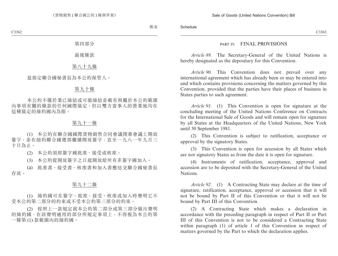### part iv. FINAL PROVISIONS

*Article 89.* The Secretary-General of the United Nations is hereby designated as the depositary for this Convention.

*Article 90.* This Convention does not prevail over any international agreement which has already been or may be entered into and which contains provisions concerning the matters governed by this Convention, provided that the parties have their places of business in States parties to such agreement.

*Article 91.* (1) This Convention is open for signature at the concluding meeting of the United Nations Conference on Contracts for the International Sale of Goods and will remain open for signature by all States at the Headquarters of the United Nations, New York until 30 September 1981.

(2) This Convention is subject to ratification, acceptance or approval by the signatory States.

(3) This Convention is open for accession by all States which are not signatory States as from the date it is open for signature.

(4) Instruments of ratification, acceptance, approval and accession are to be deposited with the Secretary-General of the United Nations.

*Article 92.* (1) A Contracting State may declare at the time of signature, ratification, acceptance, approval or accession that it will not be bound by Part II of this Convention or that it will not be bound by Part III of this Convention.

(2) A Contracting State which makes a declaration in accordance with the preceding paragraph in respect of Part II or Part III of this Convention is not to be considered a Contracting State within paragraph (1) of article 1 of this Convention in respect of matters governed by the Part to which the declaration applies.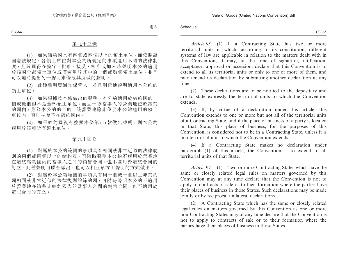*Article 93.* (1) If a Contracting State has two or more territorial units in which, according to its constitution, different systems of law are applicable in relation to the matters dealt with in this Convention, it may, at the time of signature, ratification, acceptance, approval or accession, declare that this Convention is to extend to all its territorial units or only to one or more of them, and may amend its declaration by submitting another declaration at any time.

(2) These declarations are to be notified to the depositary and are to state expressly the territorial units to which the Convention extends.

(3) If, by virtue of a declaration under this article, this Convention extends to one or more but not all of the territorial units of a Contracting State, and if the place of business of a party is located in that State, this place of business, for the purposes of this Convention, is considered not to be in a Contracting State, unless it is in a territorial unit to which the Convention extends.

(4) If a Contracting State makes no declaration under paragraph (1) of this article, the Convention is to extend to all territorial units of that State.

*Article 94.* (1) Two or more Contracting States which have the same or closely related legal rules on matters governed by this Convention may at any time declare that the Convention is not to apply to contracts of sale or to their formation where the parties have their places of business in those States. Such declarations may be made jointly or by reciprocal unilateral declarations.

(2) A Contracting State which has the same or closely related legal rules on matters governed by this Convention as one or more non-Contracting States may at any time declare that the Convention is not to apply to contracts of sale or to their formation where the parties have their places of business in those States.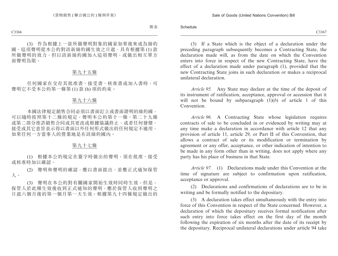C<sub>3367</sub> C<sub>3367</sub> C<sub>3367</sub>

(3) If a State which is the object of a declaration under the preceding paragraph subsequently becomes a Contracting State, the declaration made will, as from the date on which the Convention enters into force in respect of the new Contracting State, have the effect of a declaration made under paragraph (1), provided that the new Contracting State joins in such declaration or makes a reciprocal unilateral declaration.

*Article 95.* Any State may declare at the time of the deposit of its instrument of ratification, acceptance, approval or accession that it will not be bound by subparagraph  $(1)(b)$  of article 1 of this Convention.

*Article 96.* A Contracting State whose legislation requires contracts of sale to be concluded in or evidenced by writing may at any time make a declaration in accordance with article 12 that any provision of article 11, article 29, or Part II of this Convention, that allows a contract of sale or its modification or termination by agreement or any offer, acceptance, or other indication of intention to be made in any form other than in writing, does not apply where any party has his place of business in that State.

*Article 97.* (1) Declarations made under this Convention at the time of signature are subject to confirmation upon ratification, acceptance or approval.

(2) Declarations and confirmations of declarations are to be in writing and be formally notified to the depositary.

(3) A declaration takes effect simultaneously with the entry into force of this Convention in respect of the State concerned. However, a declaration of which the depositary receives formal notification after such entry into force takes effect on the first day of the month following the expiration of six months after the date of its receipt by the depositary. Reciprocal unilateral declarations under article 94 take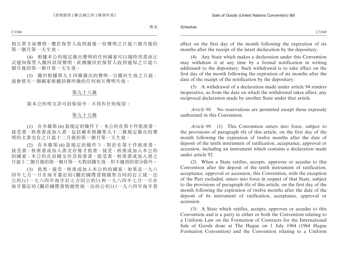effect on the first day of the month following the expiration of six months after the receipt of the latest declaration by the depositary.

(4) Any State which makes a declaration under this Convention may withdraw it at any time by a formal notification in writing addressed to the depositary. Such withdrawal is to take effect on the first day of the month following the expiration of six months after the date of the receipt of the notification by the depositary.

(5) A withdrawal of a declaration made under article 94 renders inoperative, as from the date on which the withdrawal takes effect, any reciprocal declaration made by another State under that article.

*Article 98.* No reservations are permitted except those expressly authorized in this Convention.

*Article 99.* (1) This Convention enters into force, subject to the provisions of paragraph (6) of this article, on the first day of the month following the expiration of twelve months after the date of deposit of the tenth instrument of ratification, acceptance, approval or accession, including an instrument which contains a declaration made under article 92.

(2) When a State ratifies, accepts, approves or accedes to this Convention after the deposit of the tenth instrument of ratification, acceptance, approval or accession, this Convention, with the exception of the Part excluded, enters into force in respect of that State, subject to the provisions of paragraph (6) of this article, on the first day of the month following the expiration of twelve months after the date of the deposit of its instrument of ratification, acceptance, approval or accession.

(3) A State which ratifies, accepts, approves or accedes to this Convention and is a party to either or both the Convention relating to a Uniform Law on the Formation of Contracts for the International Sale of Goods done at The Hague on 1 July 1964 (1964 Hague Formation Convention) and the Convention relating to a Uniform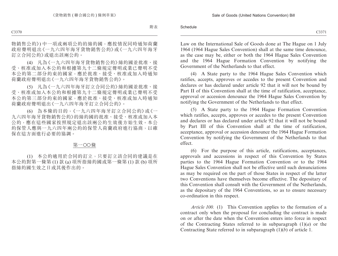Law on the International Sale of Goods done at The Hague on 1 July 1964 (1964 Hague Sales Convention) shall at the same time denounce, as the case may be, either or both the 1964 Hague Sales Convention and the 1964 Hague Formation Convention by notifying the Government of the Netherlands to that effect.

(4) A State party to the 1964 Hague Sales Convention which ratifies, accepts, approves or accedes to the present Convention and declares or has declared under article 92 that it will not be bound by Part II of this Convention shall at the time of ratification, acceptance, approval or accession denounce the 1964 Hague Sales Convention by notifying the Government of the Netherlands to that effect.

(5) A State party to the 1964 Hague Formation Convention which ratifies, accepts, approves or accedes to the present Convention and declares or has declared under article 92 that it will not be bound by Part III of this Convention shall at the time of ratification, acceptance, approval or accession denounce the 1964 Hague Formation Convention by notifying the Government of the Netherlands to that effect.

(6) For the purpose of this article, ratifications, acceptances, approvals and accessions in respect of this Convention by States parties to the 1964 Hague Formation Convention or to the 1964 Hague Sales Convention shall not be effective until such denunciations as may be required on the part of those States in respect of the latter two Conventions have themselves become effective. The depositary of this Convention shall consult with the Government of the Netherlands, as the depositary of the 1964 Conventions, so as to ensure necessary co-ordination in this respect.

*Article 100.* (1) This Convention applies to the formation of a contract only when the proposal for concluding the contract is made on or after the date when the Convention enters into force in respect of the Contracting States referred to in subparagraph  $(1)(a)$  or the Contracting State referred to in subparagraph (1)(*b*) of article 1.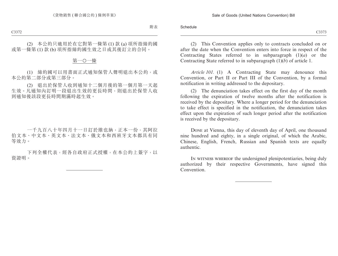C3372 C3373

(2) This Convention applies only to contracts concluded on or after the date when the Convention enters into force in respect of the Contracting States referred to in subparagraph  $(1)(a)$  or the Contracting State referred to in subparagraph (1)(*b*) of article 1.

*Article 101.* (1) A Contracting State may denounce this Convention, or Part II or Part III of the Convention, by a formal notification in writing addressed to the depositary.

(2) The denunciation takes effect on the first day of the month following the expiration of twelve months after the notification is received by the depositary. Where a longer period for the denunciation to take effect is specified in the notification, the denunciation takes effect upon the expiration of such longer period after the notification is received by the depositary.

Done at Vienna, this day of eleventh day of April, one thousand nine hundred and eighty, in a single original, of which the Arabic, Chinese, English, French, Russian and Spanish texts are equally authentic.

In witness whereof the undersigned plenipotentiaries, being duly authorized by their respective Governments, have signed this Convention.